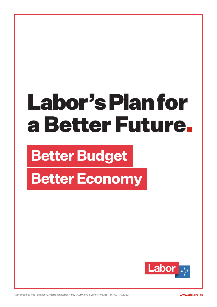# Labor's Plan for a Better Future.

## **Better Budget**

**Better Economy**

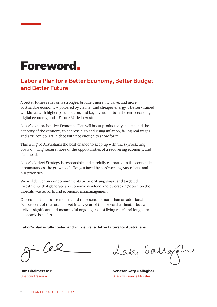### Foreword.

#### Labor's Plan for a Better Economy, Better Budget and Better Future

A better future relies on a stronger, broader, more inclusive, and more sustainable economy – powered by cleaner and cheaper energy, a better-trained workforce with higher participation, and key investments in the care economy, digital economy, and a Future Made in Australia.

Labor's comprehensive Economic Plan will boost productivity and expand the capacity of the economy to address high and rising inflation, falling real wages, and a trillion dollars in debt with not enough to show for it.

This will give Australians the best chance to keep up with the skyrocketing costs of living, secure more of the opportunities of a recovering economy, and get ahead.

Labor's Budget Strategy is responsible and carefully calibrated to the economic circumstances, the growing challenges faced by hardworking Australians and our priorities.

We will deliver on our commitments by prioritising smart and targeted investments that generate an economic dividend and by cracking down on the Liberals' waste, rorts and economic mismanagement.

Our commitments are modest and represent no more than an additional 0.4 per cent of the total budget in any year of the forward estimates but will deliver significant and meaningful ongoing cost of living relief and long-term economic benefits.

Labor's plan is fully costed and will deliver a Better Future for Australians.

Cel

**Jim Chalmers MP** Shadow Treasurer

Laty Garrey 2

**Senator Katy Gallagher** Shadow Finance Minister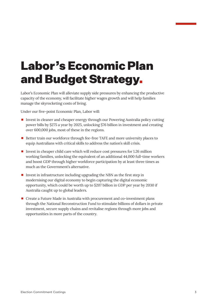## Labor's Economic Plan and Budget Strategy.

Labor's Economic Plan will alleviate supply side pressures by enhancing the productive capacity of the economy, will facilitate higher wages growth and will help families manage the skyrocketing costs of living.

Under our five-point Economic Plan, Labor will:

- Invest in cleaner and cheaper energy through our Powering Australia policy cutting power bills by \$275 a year by 2025, unlocking \$76 billion in investment and creating over 600,000 jobs, most of these in the regions.
- Better train our workforce through fee-free TAFE and more university places to equip Australians with critical skills to address the nation's skill crisis.
- Invest in cheaper child care which will reduce cost pressures for  $1.26$  million working families, unlocking the equivalent of an additional 44,000 full-time workers and boost GDP through higher workforce participation by at least three times as much as the Government's alternative.
- Invest in infrastructure including upgrading the NBN as the first step in modernising our digital economy to begin capturing the digital economic opportunity, which could be worth up to \$207 billion in GDP per year by 2030 if Australia caught up to global leaders.
- Create a Future Made in Australia with procurement and co-investment plans through the National Reconstruction Fund to stimulate billions of dollars in private investment, secure supply chains and revitalise regions through more jobs and opportunities in more parts of the country.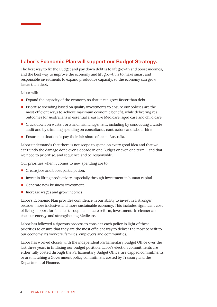#### Labor's Economic Plan will support our Budget Strategy.

The best way to fix the Budget and pay down debt is to lift growth and boost incomes, and the best way to improve the economy and lift growth is to make smart and responsible investments to expand productive capacity, so the economy can grow faster than debt.

Labor will:

- Expand the capacity of the economy so that it can grow faster than debt.
- **Prioritise spending based on quality investments to ensure our policies are the** most efficient ways to achieve maximum economic benefit, while delivering real outcomes for Australians in essential areas like Medicare, aged care and child care.
- Crack down on waste, rorts and mismanagement, including by conducting a waste audit and by trimming spending on consultants, contractors and labour hire.
- Ensure multinationals pay their fair share of tax in Australia.

Labor understands that there is not scope to spend on every good idea and that we can't undo the damage done over a decade in one Budget or even one term – and that we need to prioritise, and sequence and be responsible.

Our priorities when it comes to new spending are to:

- Create jobs and boost participation.
- $\blacksquare$  Invest in lifting productivity, especially through investment in human capital.
- Generate new business investment.
- Increase wages and grow incomes.

Labor's Economic Plan provides confidence in our ability to invest in a stronger, broader, more inclusive, and more sustainable economy. This includes significant cost of living support for families through child care reform, investments in cleaner and cheaper energy, and strengthening Medicare.

Labor has followed a rigorous process to consider each policy in light of these priorities to ensure that they are the most efficient way to deliver the most benefit to our economy, its workers, families, employers and communities.

Labor has worked closely with the independent Parliamentary Budget Office over the last three years in finalising our budget position. Labor's election commitments are either fully costed through the Parliamentary Budget Office, are capped commitments or are matching a Government policy commitment costed by Treasury and the Department of Finance.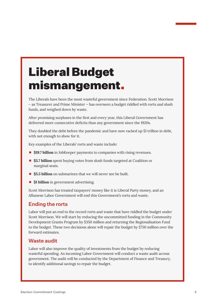## Liberal Budget mismangement.

The Liberals have been the most wasteful government since Federation. Scott Morrison – as Treasurer and Prime Minister – has overseen a budget riddled with rorts and slush funds, and weighed down by waste.

After promising surpluses in the first and every year, this Liberal Government has delivered more consecutive deficits than any government since the 1920s.

They doubled the debt before the pandemic and have now racked up \$1 trillion in debt, with not enough to show for it.

Key examples of the Liberals' rorts and waste include:

- \$19.7 billion in JobKeeper payments to companies with rising revenues.
- **55.7 billion** spent buying votes from slush funds targeted at Coalition or marginal seats.
- **5.5 billion** on submarines that we will never see be built.
- $\bullet$  **\$1 billion** in government advertising.

Scott Morrison has treated taxpayers' money like it is Liberal Party money, and an Albanese Labor Government will end this Government's rorts and waste.

#### Ending the rorts

Labor will put an end to the record rorts and waste that have riddled the budget under Scott Morrison. We will start by reducing the uncommitted funding in the Community Development Grants Program by \$350 million and returning the Regionalisation Fund to the budget. These two decisions alone will repair the budget by \$750 million over the forward estimates.

#### Waste audit

Labor will also improve the quality of investments from the budget by reducing wasteful spending. An incoming Labor Government will conduct a waste audit across government. The audit will be conducted by the Department of Finance and Treasury, to identify additional savings to repair the budget.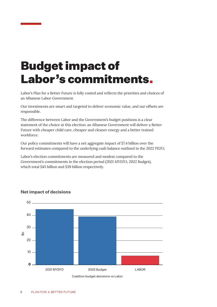## Budget impact of Labor's commitments.

Labor's Plan for a Better Future is fully costed and reflects the priorities and choices of an Albanese Labor Government.

Our investments are smart and targeted to deliver economic value, and our offsets are responsible.

The difference between Labor and the Government's budget positions is a clear statement of the choice at this election: an Albanese Government will deliver a Better Future with cheaper child care, cheaper and cleaner energy and a better trained workforce.

Our policy commitments will have a net aggregate impact of \$7.4 billion over the forward estimates compared to the underlying cash balance outlined in the 2022 PEFO.

Labor's election commitments are measured and modest compared to the Government's commitments in the election period (2021 MYEFO, 2022 Budget), which total \$45 billion and \$39 billion respectively.



#### **Net impact of decisions**

Coalition budget decisions vs Labor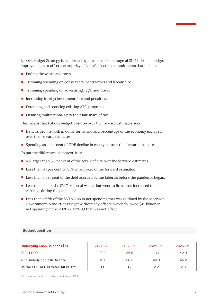Labor's Budget Strategy is supported by a responsible package of \$11.5 billion in budget improvements to offset the majority of Labor's election commitments that include:

- Ending the waste and rorts.
- $\blacksquare$  Trimming spending on consultants, contractors and labour hire.
- Trimming spending on advertising, legal and travel.
- Increasing foreign investment fees and penalties.
- Extending and boosting existing ATO programs.
- **Ensuring multinationals pay their fair share of tax.**

This means that Labor's budget position over the forward estimates sees:

- Deficits decline both in dollar terms and as a percentage of the economy each year over the forward estimates.
- **Spending as a per cent of GDP decline in each year over the forward estimates.**

To put the difference in context, it is:

- No larger than 3.5 per cent of the total deficits over the forward estimates.
- Less than 0.1 per cent of GDP in any year of the forward estimates.
- **Less than 3 per cent of the debt accrued by the Liberals before the pandemic began.**
- Less than half of the \$19.7 billion of waste that went to firms that increased their earnings during the pandemic.
- $\blacksquare$  Less than a fifth of the \$39 billion in net spending that was outlined by the Morrison Government in the 2022 Budget without any offsets, which followed \$45 billion in net spending in the 2021-22 MYEFO that was not offset.

#### **Budget position**

| Underlying Cash Balance (\$b)            | 2022-23 | 2023-24 | 2024-25 | 2025-26 |
|------------------------------------------|---------|---------|---------|---------|
| 2022 PEFO                                | $-77.9$ | -56.5   | $-47.1$ | $-42.9$ |
| ALP Underlying Cash Balance              | $-79.1$ | $-58.3$ | $-49.3$ | $-45.2$ |
| IMPACT OF ALP COMMITMENTS <sup>(a)</sup> | $-1.1$  | $-1.7$  | $-2.2$  | $-2.3$  |

(a) Includes impact of public debt interest (PDI)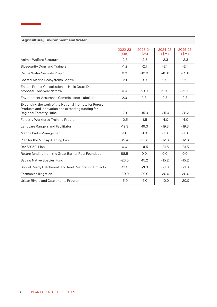|                                                                                                                                               | 2022-23                     | 2023-24                     | 2024-25                     | 2025-26                     |
|-----------------------------------------------------------------------------------------------------------------------------------------------|-----------------------------|-----------------------------|-----------------------------|-----------------------------|
|                                                                                                                                               | $$\mathsf{(}}\mathsf{Sm}$)$ | $$\mathsf{(}}\mathsf{Sm}$)$ | $$\mathsf{(}}\mathsf{Sm}$)$ | $$\mathsf{(}}\mathsf{Sm}$)$ |
| Animal Welfare Strategy                                                                                                                       | $-2.3$                      | $-2.3$                      | $-2.3$                      | $-2.3$                      |
| <b>Biosecurity Dogs and Trainers</b>                                                                                                          | $-1.2$                      | $-2.1$                      | $-2.1$                      | $-2.1$                      |
| <b>Cairns Water Security Project</b>                                                                                                          | 0.0                         | $-10.0$                     | $-43.8$                     | $-53.8$                     |
| Coastal Marine Ecosystems Centre                                                                                                              | $-15.0$                     | 0.0                         | 0.0                         | 0.0                         |
| Ensure Proper Consultation on Hells Gates Dam<br>proposal - one year deferral                                                                 | 0.0                         | 50.0                        | 50.0                        | 350.0                       |
| Environment Assurance Commissioner - abolition                                                                                                | 2.3                         | 2.3                         | 2.3                         | 2.3                         |
| Expanding the work of the National Institute for Forest<br>Products and Innovation and extending funding for<br><b>Regional Forestry Hubs</b> | $-12.0$                     | $-15.0$                     | $-25.0$                     | $-28.3$                     |
| Forestry Workforce Training Program                                                                                                           | $-0.5$                      | $-1.5$                      | $-4.0$                      | $-4.0$                      |
| Landcare Rangers and Facilitator                                                                                                              | $-19.3$                     | $-19.3$                     | $-19.3$                     | $-19.3$                     |
| Marine Parks Management                                                                                                                       | $-1.0$                      | $-1.0$                      | $-1.0$                      | $-1.0$                      |
| Plan for the Murray-Darling Basin                                                                                                             | $-27.4$                     | $-32.8$                     | $-12.8$                     | $-12.8$                     |
| Reef 2050 Plan                                                                                                                                | 0.0                         | $-31.5$                     | $-31.5$                     | $-31.5$                     |
| Return funding from the Great Barrier Reef Foundation                                                                                         | 88.5                        | 0.0                         | 0.0                         | 0.0                         |
| Saving Native Species Fund                                                                                                                    | $-26.0$                     | $-15.2$                     | $-15.2$                     | $-15.2$                     |
| Shovel Ready Catchment and Reef Restoration Projects                                                                                          | $-21.3$                     | $-21.3$                     | $-21.3$                     | $-21.3$                     |
| Tasmanian Irrigation                                                                                                                          | $-20.0$                     | $-20.0$                     | $-20.0$                     | $-20.0$                     |
| Urban Rivers and Catchments Program                                                                                                           | $-5.0$                      | $-5.0$                      | $-10.0$                     | $-20.0$                     |

#### **Agriculture, Environment and Water**

÷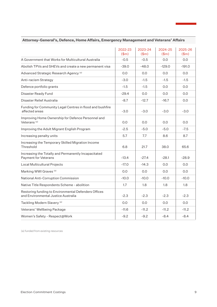|                                                                                             | 2022-23<br>\$m\$ | 2023-24<br>\$m\$ | 2024-25<br>\$m\$ | 2025-26<br>\$m\$ |
|---------------------------------------------------------------------------------------------|------------------|------------------|------------------|------------------|
| A Government that Works for Multicultural Australia                                         | $-0.5$           | $-0.5$           | 0.0              | 0.0              |
| Abolish TPVs and SHEVs and create a new permanent visa                                      | $-39.0$          | $-48.0$          | $-129.0$         | $-191.0$         |
| Advanced Strategic Research Agency <sup>(a)</sup>                                           | 0.0              | 0.0              | 0.0              | 0.0              |
| Anti-racism Strategy                                                                        | $-3.0$           | $-1.5$           | $-1.5$           | $-1.5$           |
| Defence portfolio grants                                                                    | $-1.5$           | $-1.5$           | 0.0              | 0.0              |
| Disaster Ready Fund                                                                         | $-29.4$          | 0.0              | 0.0              | 0.0              |
| Disaster Relief Australia                                                                   | $-8.7$           | $-12.7$          | $-16.7$          | 0.0              |
| Funding for Community Legal Centres in flood and bushfire<br>affected areas                 | $-3.0$           | $-3.0$           | $-3.0$           | $-3.0$           |
| Improving Home Ownership for Defence Personnel and<br>Veterans <sup>(a)</sup>               | 0.0              | 0.0              | 0.0              | 0.0              |
| Improving the Adult Migrant English Program                                                 | $-2.5$           | $-5.0$           | $-5.0$           | $-7.5$           |
| Increasing penalty units                                                                    | 5.7              | 7.7              | 8.6              | 8.7              |
| Increasing the Temporary Skilled Migration Income<br>Threshold                              | 6.8              | 21.7             | 38.0             | 65.6             |
| Increasing the Totally and Permanently Incapacitated<br><b>Payment for Veterans</b>         | $-13.4$          | $-27.4$          | $-28.1$          | $-28.9$          |
| Local Multicultural Projects                                                                | $-17.0$          | $-14.3$          | 0.0              | 0.0              |
| Marking WWI Graves (a)                                                                      | 0.0              | 0.0              | 0.0              | 0.0              |
| National Anti-Corruption Commission                                                         | $-10.0$          | $-10.0$          | $-10.0$          | $-10.0$          |
| Native Title Respondents Scheme - abolition                                                 | 1.7              | 1.8              | 1.8              | 1.8              |
| Restoring funding to Environmental Defenders Offices<br>and Environmental Justice Australia | $-2.3$           | $-2.3$           | $-2.3$           | $-2.3$           |
| Tackling Modern Slavery (a)                                                                 | 0.0              | 0.0              | 0.0              | 0.0              |
| Veterans' Wellbeing Package                                                                 | $-11.6$          | $-11.2$          | $-11.2$          | $-11.2$          |
| Women's Safety - Respect@Work                                                               | $-9.2$           | $-9.2$           | $-8.4$           | $-8.4$           |

#### **Attorney-General's, Defence, Home Affairs, Emergency Management and Veterans' Affairs**

(a) funded from existing resources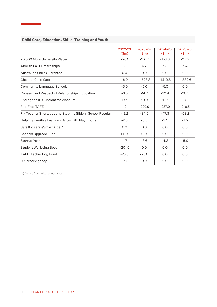|                                                            | 2022-23                     | 2023-24    | 2024-25    | 2025-26    |
|------------------------------------------------------------|-----------------------------|------------|------------|------------|
|                                                            | $$\mathsf{(}}\mathsf{Sm}$)$ | \$m\$      | \$m\$      | \$m\$      |
| 20,000 More University Places                              | $-96.1$                     | $-156.7$   | $-153.8$   | $-117.2$   |
| <b>Abolish PaTH Internships</b>                            | 3.1                         | 6.7        | 6.3        | 6.4        |
| Australian Skills Guarantee                                | 0.0                         | 0.0        | 0.0        | 0.0        |
| <b>Cheaper Child Care</b>                                  | $-6.0$                      | $-1,523.8$ | $-1,710.8$ | $-1,832.6$ |
| <b>Community Language Schools</b>                          | $-5.0$                      | $-5.0$     | $-5.0$     | 0.0        |
| <b>Consent and Respectful Relationships Education</b>      | $-3.5$                      | $-14.7$    | $-22.4$    | $-20.5$    |
| Ending the 10% upfront fee discount                        | 19.6                        | 40.0       | 41.7       | 43.4       |
| Fee-Free TAFE                                              | $-112.1$                    | $-229.9$   | $-237.9$   | $-216.5$   |
| Fix Teacher Shortages and Stop the Slide in School Results | $-17.2$                     | $-34.5$    | $-47.3$    | $-53.2$    |
| Helping Families Learn and Grow with Playgroups            | $-2.5$                      | $-3.5$     | $-3.5$     | $-1.5$     |
| Safe Kids are eSmart Kids (a)                              | 0.0                         | 0.0        | 0.0        | 0.0        |
| Schools Upgrade Fund                                       | $-144.0$                    | $-94.0$    | 0.0        | 0.0        |
| Startup Year                                               | $-1.7$                      | $-3.6$     | $-4.3$     | $-5.0$     |
| <b>Student Wellbeing Boost</b>                             | $-201.5$                    | 0.0        | 0.0        | 0.0        |
| TAFE Technology Fund                                       | $-25.0$                     | $-25.0$    | 0.0        | O.O        |
| Y Career Agency                                            | $-15.2$                     | 0.0        | 0.0        | O.O        |

#### **Child Care, Education, Skills, Training and Youth**

÷

(a) funded from existing resources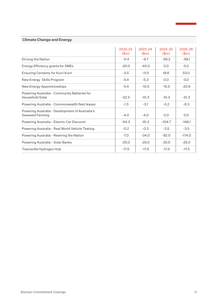#### **Climate Change and Energy**

|                                                                    | 2022-23<br>\$m\$ | 2023-24<br>\$m\$ | 2024-25<br>\$m\$ | 2025-26<br>(\$m) |
|--------------------------------------------------------------------|------------------|------------------|------------------|------------------|
| Driving the Nation                                                 | $-11.4$          | $-9.7$           | $-59.2$          | $-59.1$          |
| Energy Efficiency grants for SMEs                                  | $-20.0$          | $-40.0$          | 0.0              | 0.0              |
| Ensuring Certainty for Kurri Kurri                                 | $-3.5$           | $-11.0$          | 18.6             | 53.0             |
| New Energy Skills Program                                          | $-5.4$           | $-5.3$           | 0.0              | 0.0              |
| New Energy Apprenticeships                                         | $-5.4$           | $-10.5$          | $-15.5$          | $-20.6$          |
| Powering Australia - Community Batteries for<br>Household Solar    | $-52.5$          | $-51.3$          | $-51.3$          | $-51.3$          |
| Powering Australia - Commonwealth fleet leases                     | $-1.3$           | $-3.1$           | $-5.2$           | $-6.3$           |
| Powering Australia - Development of Australia's<br>Seaweed Farming | $-4.0$           | $-4.0$           | 0.0              | 0.0              |
| Powering Australia - Electric Car Discount                         | $-54.3$          | $-81.2$          | $-104.7$         | $-148.1$         |
| Powering Australia - Real World Vehicle Testing                    | $-0.2$           | $-0.3$           | $-3.5$           | $-3.5$           |
| Powering Australia - Rewiring the Nation                           | $-7.0$           | $-34.0$          | $-92.0$          | $-174.0$         |
| Powering Australia - Solar Banks                                   | $-25.0$          | $-25.0$          | $-25.0$          | $-25.0$          |
| Townsville Hydrogen Hub                                            | $-17.5$          | $-17.5$          | $-17.5$          | $-17.5$          |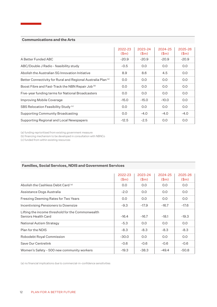|                                                                          | 2022-23<br>\$m\$ | 2023-24<br>\$m\$ | 2024-25<br>\$m\$ | 2025-26<br>(\$m) |
|--------------------------------------------------------------------------|------------------|------------------|------------------|------------------|
| A Better Funded ABC                                                      | $-20.9$          | $-20.9$          | $-20.9$          | $-20.9$          |
| ABC/Double J Radio - feasibility study                                   | $-0.5$           | 0.0              | O.O              | 0.0              |
| Abolish the Australian 5G Innovation Initiative                          | 8.9              | 8.6              | 4.5              | 0.0              |
| Better Connectivity for Rural and Regional Australia Plan <sup>(a)</sup> | 0.0              | 0.0              | O.O              | 0.0              |
| Boost Fibre and Fast-Track the NBN Repair Job <sup>(b)</sup>             | 0.0              | 0.0              | O.O              | 0.0              |
| Five-year funding terms for National Broadcasters                        | 0.0              | 0.0              | O.O              | 0.0              |
| Improving Mobile Coverage                                                | $-15.0$          | $-15.0$          | $-10.0$          | 0.0              |
| SBS Relocation Feasibility Study (c)                                     | 0.0              | 0.0              | O.O              | 0.0              |
| <b>Supporting Community Broadcasting</b>                                 | 0.0              | $-4.0$           | $-4.0$           | $-4.0$           |
| Supporting Regional and Local Newspapers                                 | $-12.5$          | $-2.5$           | O.O              | 0.0              |

(a) funding reprioritised from existing government measure

(b) financing mechanism to be developed in consultation with NBNCo

(c) funded from within existing resources

|                                                                          | 2022-23<br>\$m\$ | 2023-24<br>\$m\$ | 2024-25<br>\$m\$ | 2025-26<br>\$m\$ |
|--------------------------------------------------------------------------|------------------|------------------|------------------|------------------|
| Abolish the Cashless Debit Card (a)                                      | 0.0              | 0.0              | O.O              | 0.0              |
| Assistance Dogs Australia                                                | $-2.0$           | 0.0              | O.O              | 0.0              |
| Freezing Deeming Rates for Two Years                                     | 0.0              | O.O              | O.O              | 0.0              |
| Incentivising Pensioners to Downsize                                     | $-9.3$           | $-17.9$          | $-16.7$          | $-17.6$          |
| Lifting the income threshold for the Commonwealth<br>Seniors Health Card | $-16.4$          | $-16.7$          | $-18.1$          | $-19.3$          |
| National Autism Strategy                                                 | $-5.3$           | 0.0              | 0.0              | 0.0              |
| Plan for the NDIS                                                        | $-8.3$           | $-8.3$           | $-8.3$           | $-8.3$           |
| Robodebt Royal Commission                                                | $-30.0$          | 0.0              | 0.0              | 0.0              |
| Save Our Centrelink                                                      | $-0.6$           | $-0.6$           | $-0.6$           | $-0.6$           |
| Women's Safety - 500 new community workers                               | $-19.3$          | $-38.3$          | $-49.4$          | $-50.8$          |

#### **Families, Social Services, NDIS and Government Services**

(a) no financial implications due to commercial-in-confidence sensitivities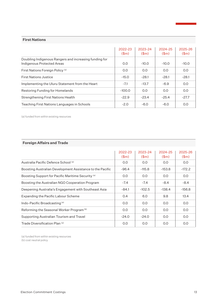#### **First Nations**

|                                                                                      | 2022-23<br>$(\text{3m})$ | 2023-24<br>\$m\$ | 2024-25<br>\$m\$ | 2025-26<br>(\$m) |
|--------------------------------------------------------------------------------------|--------------------------|------------------|------------------|------------------|
| Doubling Indigenous Rangers and increasing funding for<br>Indigenous Protected Areas | 0.0                      | $-10.0$          | $-10.0$          | $-10.0$          |
| First Nations Foreign Policy <sup>(a)</sup>                                          | 0.0                      | 0.0              | 0.0              | 0.0              |
| <b>First Nations Justice</b>                                                         | $-15.0$                  | $-28.1$          | $-28.1$          | $-28.1$          |
| Implementing the Uluru Statement from the Heart                                      | $-7.1$                   | $-13.7$          | $-6.9$           | 0.0              |
| Restoring Funding for Homelands                                                      | $-100.0$                 | 0.0              | 0.0              | 0.0              |
| Strengthening First Nations Health                                                   | $-22.9$                  | $-23.4$          | $-25.4$          | $-27.7$          |
| Teaching First Nations Languages in Schools                                          | $-2.0$                   | $-6.0$           | $-6.0$           | 0.0              |

(a) funded from within existing resources

#### **Foreign Affairs and Trade**

|                                                               | 2022-23<br>\$m\$ | 2023-24<br>\$m\$ | 2024-25<br>\$m\$ | $2025 - 26$<br>\$m\$ |
|---------------------------------------------------------------|------------------|------------------|------------------|----------------------|
| Australia Pacific Defence School (a)                          | 0.0              | 0.0              | 0.0              | 0.0                  |
| Boosting Australian Development Assistance to the Pacific     | $-96.4$          | $-115.8$         | $-153.8$         | $-172.2$             |
| Boosting Support for Pacific Maritime Security <sup>(a)</sup> | 0.0              | 0.0              | O.O              | 0.0                  |
| Boosting the Australian NGO Cooperation Program               | $-7.4$           | $-7.4$           | $-8.4$           | $-8.4$               |
| Deepening Australia's Engagement with Southeast Asia          | $-84.1$          | $-102.5$         | $-138.4$         | $-156.8$             |
| Expanding the Pacific Labour Scheme                           | 0.4              | 6.0              | 9.8              | 13.4                 |
| Indo-Pacific Broadcasting <sup>(a)</sup>                      | 0.0              | 0.0              | O.O              | O.O                  |
| Reforming the Seasonal Worker Program <sup>(b)</sup>          | 0.0              | 0.0              | 0.0              | 0.0                  |
| Supporting Australian Tourism and Travel                      | $-24.0$          | $-24.0$          | 0.0              | 0.0                  |
| Trade Diversification Plan (a)                                | 0.0              | 0.0              | O.O              | O.O                  |

(a) funded from within existing resources (b) cost neutral policy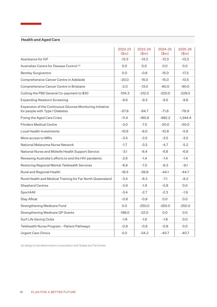#### **Health and Aged Care**

÷

|                                                                                              | 2022-23<br>\$m\$ | 2023-24<br>\$m\$ | 2024-25<br>(\$m) | 2025-26<br>\$m\$ |
|----------------------------------------------------------------------------------------------|------------------|------------------|------------------|------------------|
| Assistance for IVF                                                                           | $-13.3$          | $-13.3$          | $-13.3$          | $-13.3$          |
| Australian Centre for Disease Control (a)                                                    | 0.0              | 0.0              | 0.0              | 0.0              |
| <b>Bentley Surgicentre</b>                                                                   | 0.0              | $-0.6$           | $-15.0$          | $-17.5$          |
| Comprehensive Cancer Centre in Adelaide                                                      | $-20.0$          | $-15.0$          | $-15.0$          | $-13.5$          |
| Comprehensive Cancer Centre in Brisbane                                                      | $-2.0$           | $-13.0$          | $-80.0$          | $-90.0$          |
| Cutting the PBS General Co-payment to \$30                                                   | $-104.3$         | $-212.0$         | $-220.0$         | $-229.0$         |
| <b>Expanding Newborn Screening</b>                                                           | $-8.6$           | $-9.3$           | $-9.5$           | $-9.8$           |
| Expansion of the Continuous Glucose Monitoring initiative<br>for people with Type 1 Diabetes | $-57.8$          | $-64.7$          | $-71.8$          | $-78.9$          |
| Fixing the Aged Care Crisis                                                                  | $-11.4$          | $-160.8$         | $-982.2$         | $-1,344.4$       |
| <b>Flinders Medical Centre</b>                                                               | $-3.0$           | $-7.5$           | $-20.0$          | $-50.0$          |
| Local Health Investments                                                                     | $-10.6$          | $-8.0$           | $-10.8$          | $-5.8$           |
| More access to MRIs                                                                          | $-3.5$           | $-3.5$           | $-3.5$           | $-3.5$           |
| National Melanoma Nurse Network                                                              | $-1.7$           | $-3.3$           | $-4.7$           | $-5.2$           |
| National Nurse and Midwife Health Support Service                                            | $-3.1$           | $-6.4$           | $-6.6$           | $-6.8$           |
| Renewing Australia's efforts to end the HIV pandemic                                         | $-2.6$           | $-1.4$           | $-1.4$           | $-1.4$           |
| Restoring Regional Mental Telehealth Services                                                | $-6.9$           | $-7.5$           | $-8.3$           | $-9.1$           |
| Rural and Regional Health                                                                    | $-19.5$          | $-39.8$          | $-44.1$          | $-44.7$          |
| Rural Health and Medical Training for Far North Queensland                                   | $-3.4$           | $-6.3$           | $-7.1$           | $-8.2$           |
| <b>Shepherd Centres</b>                                                                      | $-3.9$           | $-1.9$           | $-0.8$           | 0.0              |
| Sport4All                                                                                    | $-3.4$           | $-2.7$           | $-2.3$           | $-1.9$           |
| Stay Afloat                                                                                  | $-0.8$           | $-0.8$           | 0.0              | 0.0              |
| <b>Strengthening Medicare Fund</b>                                                           | 0.0              | $-250.0$         | $-250.0$         | $-250.0$         |
| Strengthening Medicare GP Grants                                                             | $-198.0$         | $-22.0$          | 0.0              | 0.0              |
| Surf Life Saving Clubs                                                                       | $-1.6$           | $-1.6$           | $-1.6$           | 0.0              |
| Telehealth Nurse Program - Patient Pathways                                                  | $-0.8$           | $-0.8$           | $-0.8$           | 0.0              |
| <b>Urgent Care Clinics</b>                                                                   | 0.0              | $-54.2$          | $-40.7$          | $-40.7$          |

(a) design to be determined in consultation with States and Territories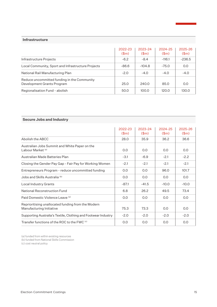#### **Infrastructure**

|                                                                           | 2022-23<br>\$m\$ | 2023-24<br>\$m\$ | 2024-25<br>\$m\$ | 2025-26<br>\$m\$ |
|---------------------------------------------------------------------------|------------------|------------------|------------------|------------------|
| Infrastructure Projects                                                   | $-6.2$           | $-8.4$           | $-116.1$         | $-236.5$         |
| Local Community, Sport and Infrastructure Projects                        | $-86.6$          | $-104.8$         | $-75.0$          | 0.0              |
| National Rail Manufacturing Plan                                          | $-2.0$           | $-4.0$           | $-4.0$           | $-4.0$           |
| Reduce uncommitted funding in the Community<br>Development Grants Program | 25.0             | 240.0            | 85.0             | 0.0              |
| Regionalisation Fund - abolish                                            | 50.0             | 100.0            | 120.0            | 130.0            |

| <b>Secure Jobs and Industry</b>                                                |                  |                  |                  |                  |
|--------------------------------------------------------------------------------|------------------|------------------|------------------|------------------|
|                                                                                | 2022-23<br>\$m\$ | 2023-24<br>\$m\$ | 2024-25<br>\$m\$ | 2025-26<br>\$m\$ |
| Abolish the ABCC                                                               | 28.0             | 35.9             | 36.2             | 36.6             |
| Australian Jobs Summit and White Paper on the<br>Labour Market (a)             | 0.0              | 0.0              | 0.0              | 0.0              |
| Australian Made Batteries Plan                                                 | $-3.1$           | $-6.9$           | $-2.1$           | $-2.2$           |
| Closing the Gender Pay Gap - Fair Pay for Working Women                        | $-2.1$           | $-2.1$           | $-2.1$           | $-2.1$           |
| Entrepreneurs Program - reduce uncommitted funding                             | 0.0              | 0.0              | 96.0             | 101.7            |
| Jobs and Skills Australia <sup>(b)</sup>                                       | 0.0              | 0.0              | 0.0              | 0.0              |
| Local Industry Grants                                                          | $-87.1$          | $-41.5$          | $-10.0$          | $-10.0$          |
| National Reconstruction Fund                                                   | 6.8              | 26.2             | 49.5             | 73.4             |
| Paid Domestic Violence Leave (a)                                               | 0.0              | 0.0              | 0.0              | 0.0              |
| Reprioritising unallocated funding from the Modern<br>Manufacturing Initiative | 75.3             | 73.3             | 0.0              | O.O              |
| Supporting Australia's Textile, Clothing and Footwear Industry                 | $-2.0$           | $-2.0$           | $-2.0$           | $-2.0$           |
| Transfer functions of the ROC to the FWC (c)                                   | O.O              | 0.0              | 0.0              | O.O              |

(a) funded from within existing resources

(b) funded from National Skills Commission

(c) cost neutral policy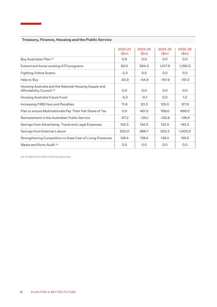|                                                                                    | 2022-23<br>\$m\$ | 2023-24<br>\$m\$ | 2024-25<br>\$m\$ | 2025-26<br>\$m\$ |
|------------------------------------------------------------------------------------|------------------|------------------|------------------|------------------|
| Buy Australian Plan (a)                                                            | 0.0              | 0.0              | 0.0              | 0.0              |
| Extend and boost existing ATO programs                                             | 90.0             | 584.3            | 1,017.9          | 1,390.5          |
| <b>Fighting Online Scams</b>                                                       | $-2.0$           | 0.0              | 0.0              | 0.0              |
| Help to Buy                                                                        | $-20.9$          | $-54.9$          | $-101.9$         | $-151.0$         |
| Housing Australia and the National Housing Supply and<br>Affordability Council (a) | 0.0              | 0.0              | 0.0              | 0.0              |
| Housing Australia Future Fund                                                      | $-0.3$           | $-0.7$           | 0.0              | 1.0              |
| Increasing FIRB Fees and Penalties                                                 | 71.6             | 121.3            | 125.0            | 127.6            |
| Plan to ensure Multinationals Pay Their Fair Share of Tax                          | 0.0              | 461.0            | 769.0            | 666.0            |
| Reinvestment in the Australian Public Service                                      | $-67.2$          | $-135.1$         | $-135.9$         | $-136.6$         |
| Savings from Advertising, Travel and Legal Expenses                                | 142.5            | 142.5            | 142.5            | 142.5            |
| Savings from External Labour                                                       | 500.0            | 666.7            | 833.3            | 1,000.0          |
| Strengthening Competition to Ease Cost of Living Pressures                         | 139.4            | 139.4            | 139.4            | 139.5            |
| Waste and Rorts Audit (a)                                                          | 0.0              | 0.0              | 0.0              | 0.0              |

#### **Treasury, Finance, Housing and the Public Service**

÷

(a) funded from within existing resources